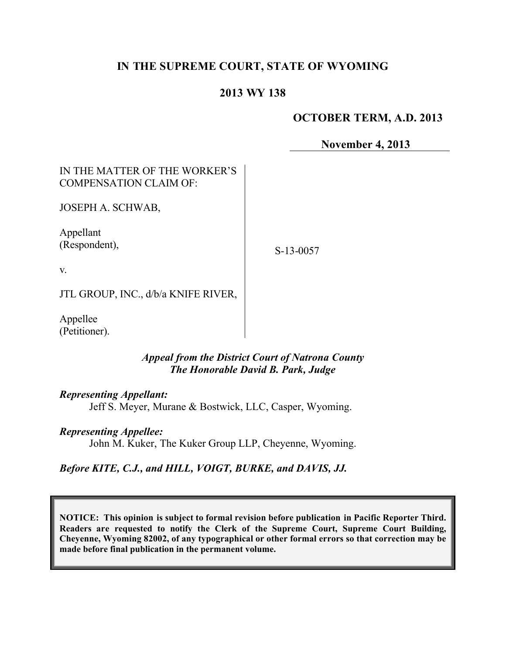# **IN THE SUPREME COURT, STATE OF WYOMING**

# **2013 WY 138**

# **OCTOBER TERM, A.D. 2013**

**November 4, 2013**

# IN THE MATTER OF THE WORKER'S COMPENSATION CLAIM OF:

JOSEPH A. SCHWAB,

Appellant (Respondent),

S-13-0057

v.

JTL GROUP, INC., d/b/a KNIFE RIVER,

Appellee (Petitioner).

# *Appeal from the District Court of Natrona County The Honorable David B. Park, Judge*

### *Representing Appellant:*

Jeff S. Meyer, Murane & Bostwick, LLC, Casper, Wyoming.

### *Representing Appellee:*

John M. Kuker, The Kuker Group LLP, Cheyenne, Wyoming.

*Before KITE, C.J., and HILL, VOIGT, BURKE, and DAVIS, JJ.*

**NOTICE: This opinion is subject to formal revision before publication in Pacific Reporter Third. Readers are requested to notify the Clerk of the Supreme Court, Supreme Court Building, Cheyenne, Wyoming 82002, of any typographical or other formal errors so that correction may be made before final publication in the permanent volume.**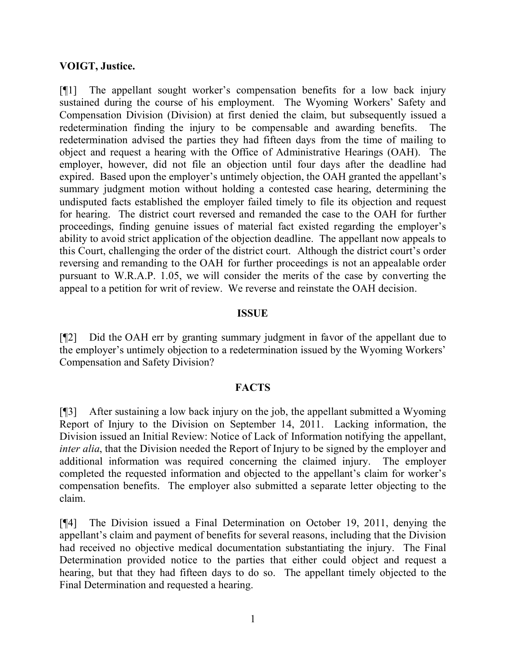## **VOIGT, Justice.**

[¶1] The appellant sought worker's compensation benefits for a low back injury sustained during the course of his employment. The Wyoming Workers' Safety and Compensation Division (Division) at first denied the claim, but subsequently issued a redetermination finding the injury to be compensable and awarding benefits. The redetermination advised the parties they had fifteen days from the time of mailing to object and request a hearing with the Office of Administrative Hearings (OAH). The employer, however, did not file an objection until four days after the deadline had expired. Based upon the employer's untimely objection, the OAH granted the appellant's summary judgment motion without holding a contested case hearing, determining the undisputed facts established the employer failed timely to file its objection and request for hearing. The district court reversed and remanded the case to the OAH for further proceedings, finding genuine issues of material fact existed regarding the employer's ability to avoid strict application of the objection deadline. The appellant now appeals to this Court, challenging the order of the district court. Although the district court's order reversing and remanding to the OAH for further proceedings is not an appealable order pursuant to W.R.A.P. 1.05, we will consider the merits of the case by converting the appeal to a petition for writ of review. We reverse and reinstate the OAH decision.

### **ISSUE**

[¶2] Did the OAH err by granting summary judgment in favor of the appellant due to the employer's untimely objection to a redetermination issued by the Wyoming Workers' Compensation and Safety Division?

### **FACTS**

[¶3] After sustaining a low back injury on the job, the appellant submitted a Wyoming Report of Injury to the Division on September 14, 2011. Lacking information, the Division issued an Initial Review: Notice of Lack of Information notifying the appellant, *inter alia*, that the Division needed the Report of Injury to be signed by the employer and additional information was required concerning the claimed injury. The employer completed the requested information and objected to the appellant's claim for worker's compensation benefits. The employer also submitted a separate letter objecting to the claim.

[¶4] The Division issued a Final Determination on October 19, 2011, denying the appellant's claim and payment of benefits for several reasons, including that the Division had received no objective medical documentation substantiating the injury. The Final Determination provided notice to the parties that either could object and request a hearing, but that they had fifteen days to do so. The appellant timely objected to the Final Determination and requested a hearing.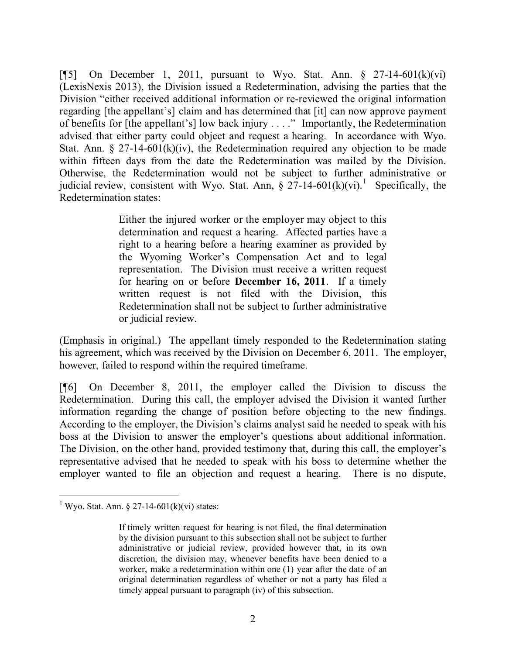[¶5] On December 1, 2011, pursuant to Wyo. Stat. Ann.  $\S$  27-14-601(k)(vi) (LexisNexis 2013), the Division issued a Redetermination, advising the parties that the Division "either received additional information or re-reviewed the original information regarding [the appellant's] claim and has determined that [it] can now approve payment of benefits for [the appellant's] low back injury . . . ." Importantly, the Redetermination advised that either party could object and request a hearing. In accordance with Wyo. Stat. Ann.  $\S 27-14-601(k)(iv)$ , the Redetermination required any objection to be made within fifteen days from the date the Redetermination was mailed by the Division. Otherwise, the Redetermination would not be subject to further administrative or judicial review, consistent with Wyo. Stat. Ann,  $\S 27-14-601(k)(vi)$ .<sup>1</sup> Specifically, the Redetermination states:

> Either the injured worker or the employer may object to this determination and request a hearing. Affected parties have a right to a hearing before a hearing examiner as provided by the Wyoming Worker's Compensation Act and to legal representation. The Division must receive a written request for hearing on or before **December 16, 2011**. If a timely written request is not filed with the Division, this Redetermination shall not be subject to further administrative or judicial review.

(Emphasis in original.) The appellant timely responded to the Redetermination stating his agreement, which was received by the Division on December 6, 2011. The employer, however, failed to respond within the required timeframe.

[¶6] On December 8, 2011, the employer called the Division to discuss the Redetermination. During this call, the employer advised the Division it wanted further information regarding the change of position before objecting to the new findings. According to the employer, the Division's claims analyst said he needed to speak with his boss at the Division to answer the employer's questions about additional information. The Division, on the other hand, provided testimony that, during this call, the employer's representative advised that he needed to speak with his boss to determine whether the employer wanted to file an objection and request a hearing. There is no dispute,

 $1$  Wyo. Stat. Ann. § 27-14-601(k)(vi) states:

If timely written request for hearing is not filed, the final determination by the division pursuant to this subsection shall not be subject to further administrative or judicial review, provided however that, in its own discretion, the division may, whenever benefits have been denied to a worker, make a redetermination within one (1) year after the date of an original determination regardless of whether or not a party has filed a timely appeal pursuant to paragraph (iv) of this subsection.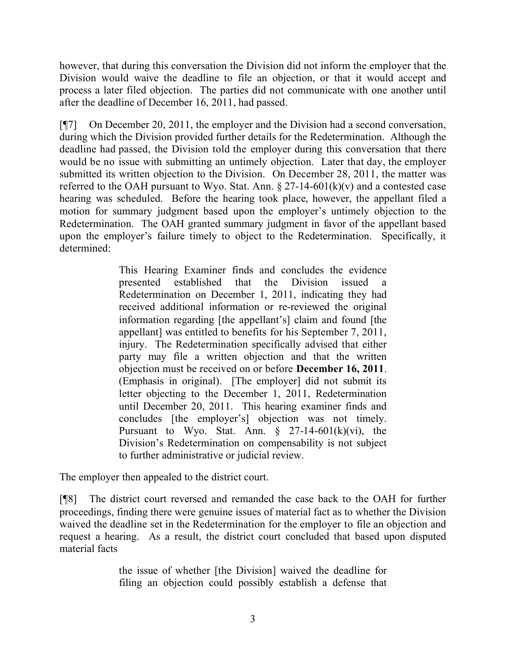however, that during this conversation the Division did not inform the employer that the Division would waive the deadline to file an objection, or that it would accept and process a later filed objection. The parties did not communicate with one another until after the deadline of December 16, 2011, had passed.

[¶7] On December 20, 2011, the employer and the Division had a second conversation, during which the Division provided further details for the Redetermination. Although the deadline had passed, the Division told the employer during this conversation that there would be no issue with submitting an untimely objection. Later that day, the employer submitted its written objection to the Division. On December 28, 2011, the matter was referred to the OAH pursuant to Wyo. Stat. Ann.  $\S 27$ -14-601(k)(v) and a contested case hearing was scheduled. Before the hearing took place, however, the appellant filed a motion for summary judgment based upon the employer's untimely objection to the Redetermination. The OAH granted summary judgment in favor of the appellant based upon the employer's failure timely to object to the Redetermination. Specifically, it determined:

> This Hearing Examiner finds and concludes the evidence presented established that the Division issued a Redetermination on December 1, 2011, indicating they had received additional information or re-reviewed the original information regarding [the appellant's] claim and found [the appellant] was entitled to benefits for his September 7, 2011, injury. The Redetermination specifically advised that either party may file a written objection and that the written objection must be received on or before **December 16, 2011**. (Emphasis in original). [The employer] did not submit its letter objecting to the December 1, 2011, Redetermination until December 20, 2011. This hearing examiner finds and concludes [the employer's] objection was not timely. Pursuant to Wyo. Stat. Ann.  $\S$  27-14-601(k)(vi), the Division's Redetermination on compensability is not subject to further administrative or judicial review.

The employer then appealed to the district court.

[¶8] The district court reversed and remanded the case back to the OAH for further proceedings, finding there were genuine issues of material fact as to whether the Division waived the deadline set in the Redetermination for the employer to file an objection and request a hearing. As a result, the district court concluded that based upon disputed material facts

> the issue of whether [the Division] waived the deadline for filing an objection could possibly establish a defense that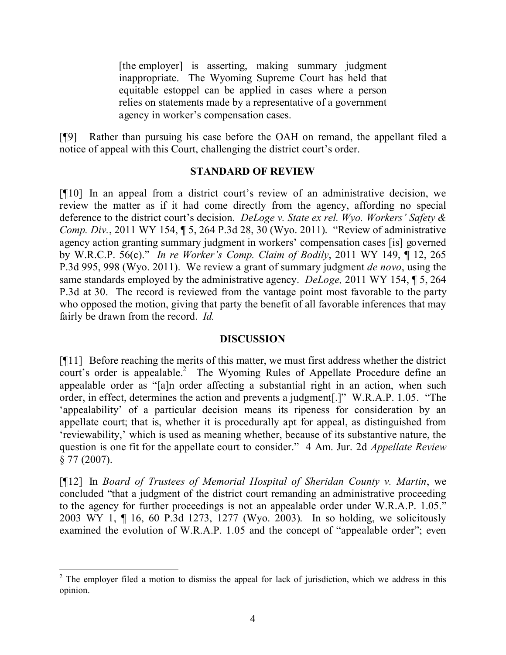[the employer] is asserting, making summary judgment inappropriate. The Wyoming Supreme Court has held that equitable estoppel can be applied in cases where a person relies on statements made by a representative of a government agency in worker's compensation cases.

[¶9] Rather than pursuing his case before the OAH on remand, the appellant filed a notice of appeal with this Court, challenging the district court's order.

# **STANDARD OF REVIEW**

[¶10] In an appeal from a district court's review of an administrative decision, we review the matter as if it had come directly from the agency, affording no special deference to the district court's decision. *DeLoge v. State ex rel. Wyo. Workers' Safety & Comp. Div.*, 2011 WY 154, ¶ 5, 264 P.3d 28, 30 (Wyo. 2011). "Review of administrative agency action granting summary judgment in workers' compensation cases [is] governed by W.R.C.P. 56(c)." *In re Worker's Comp. Claim of Bodily*, 2011 WY 149, ¶ 12, 265 P.3d 995, 998 (Wyo. 2011). We review a grant of summary judgment *de novo*, using the same standards employed by the administrative agency. *DeLoge,* 2011 WY 154, ¶ 5, 264 P.3d at 30. The record is reviewed from the vantage point most favorable to the party who opposed the motion, giving that party the benefit of all favorable inferences that may fairly be drawn from the record. *Id.*

### **DISCUSSION**

[¶11] Before reaching the merits of this matter, we must first address whether the district court's order is appealable.<sup>2</sup> The Wyoming Rules of Appellate Procedure define an appealable order as "[a]n order affecting a substantial right in an action, when such order, in effect, determines the action and prevents a judgment[.]" W.R.A.P. 1.05. "The 'appealability' of a particular decision means its ripeness for consideration by an appellate court; that is, whether it is procedurally apt for appeal, as distinguished from 'reviewability,' which is used as meaning whether, because of its substantive nature, the question is one fit for the appellate court to consider." 4 Am. Jur. 2d *Appellate Review*  $§ 77 (2007).$ 

[¶12] In *Board of Trustees of Memorial Hospital of Sheridan County v. Martin*, we concluded "that a judgment of the district court remanding an administrative proceeding to the agency for further proceedings is not an appealable order under W.R.A.P. 1.05." 2003 WY 1, ¶ 16, 60 P.3d 1273, 1277 (Wyo. 2003). In so holding, we solicitously examined the evolution of W.R.A.P. 1.05 and the concept of "appealable order"; even

 $\overline{a}$ 

 $2^2$  The employer filed a motion to dismiss the appeal for lack of jurisdiction, which we address in this opinion.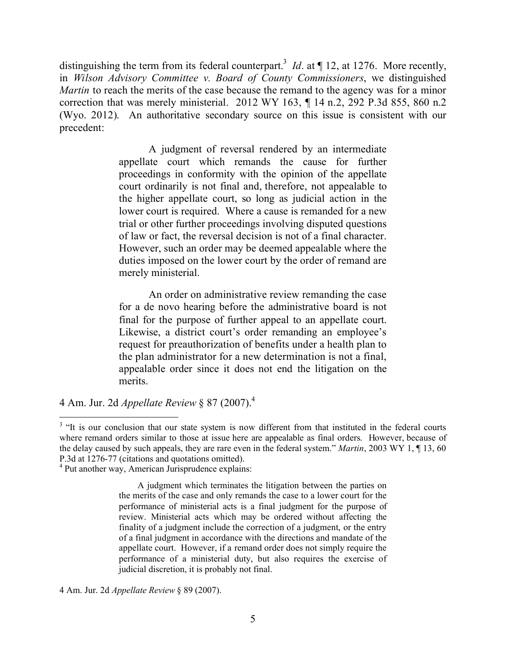distinguishing the term from its federal counterpart.<sup>3</sup> *Id*. at  $\P$  12, at 1276. More recently, in *Wilson Advisory Committee v. Board of County Commissioners*, we distinguished *Martin* to reach the merits of the case because the remand to the agency was for a minor correction that was merely ministerial. 2012 WY 163, ¶ 14 n.2, 292 P.3d 855, 860 n.2 (Wyo. 2012). An authoritative secondary source on this issue is consistent with our precedent:

> A judgment of reversal rendered by an intermediate appellate court which remands the cause for further proceedings in conformity with the opinion of the appellate court ordinarily is not final and, therefore, not appealable to the higher appellate court, so long as judicial action in the lower court is required. Where a cause is remanded for a new trial or other further proceedings involving disputed questions of law or fact, the reversal decision is not of a final character. However, such an order may be deemed appealable where the duties imposed on the lower court by the order of remand are merely ministerial.

> An order on administrative review remanding the case for a de novo hearing before the administrative board is not final for the purpose of further appeal to an appellate court. Likewise, a district court's order remanding an employee's request for preauthorization of benefits under a health plan to the plan administrator for a new determination is not a final, appealable order since it does not end the litigation on the merits.

4 Am. Jur. 2d *Appellate Review* § 87 (2007). 4

 $\overline{a}$ 

 $3$  "It is our conclusion that our state system is now different from that instituted in the federal courts where remand orders similar to those at issue here are appealable as final orders. However, because of the delay caused by such appeals, they are rare even in the federal system." *Martin*, 2003 WY 1, ¶ 13, 60 P.3d at 1276-77 (citations and quotations omitted).

<sup>4</sup> Put another way, American Jurisprudence explains:

A judgment which terminates the litigation between the parties on the merits of the case and only remands the case to a lower court for the performance of ministerial acts is a final judgment for the purpose of review. Ministerial acts which may be ordered without affecting the finality of a judgment include the correction of a judgment, or the entry of a final judgment in accordance with the directions and mandate of the appellate court. However, if a remand order does not simply require the performance of a ministerial duty, but also requires the exercise of judicial discretion, it is probably not final.

<sup>4</sup> Am. Jur. 2d *Appellate Review* § 89 (2007).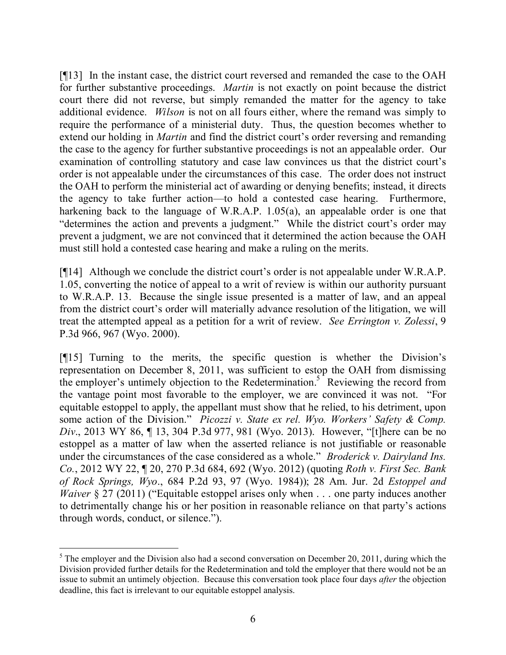[¶13] In the instant case, the district court reversed and remanded the case to the OAH for further substantive proceedings. *Martin* is not exactly on point because the district court there did not reverse, but simply remanded the matter for the agency to take additional evidence. *Wilson* is not on all fours either, where the remand was simply to require the performance of a ministerial duty. Thus, the question becomes whether to extend our holding in *Martin* and find the district court's order reversing and remanding the case to the agency for further substantive proceedings is not an appealable order. Our examination of controlling statutory and case law convinces us that the district court's order is not appealable under the circumstances of this case. The order does not instruct the OAH to perform the ministerial act of awarding or denying benefits; instead, it directs the agency to take further action—to hold a contested case hearing. Furthermore, harkening back to the language of W.R.A.P. 1.05(a), an appealable order is one that "determines the action and prevents a judgment." While the district court's order may prevent a judgment, we are not convinced that it determined the action because the OAH must still hold a contested case hearing and make a ruling on the merits.

[¶14] Although we conclude the district court's order is not appealable under W.R.A.P. 1.05, converting the notice of appeal to a writ of review is within our authority pursuant to W.R.A.P. 13. Because the single issue presented is a matter of law, and an appeal from the district court's order will materially advance resolution of the litigation, we will treat the attempted appeal as a petition for a writ of review. *See Errington v. Zolessi*, 9 P.3d 966, 967 (Wyo. 2000).

[¶15] Turning to the merits, the specific question is whether the Division's representation on December 8, 2011, was sufficient to estop the OAH from dismissing the employer's untimely objection to the Redetermination.<sup>5</sup> Reviewing the record from the vantage point most favorable to the employer, we are convinced it was not. "For equitable estoppel to apply, the appellant must show that he relied, to his detriment, upon some action of the Division." *Picozzi v. State ex rel. Wyo. Workers' Safety & Comp. Div*., 2013 WY 86, ¶ 13, 304 P.3d 977, 981 (Wyo. 2013). However, "[t]here can be no estoppel as a matter of law when the asserted reliance is not justifiable or reasonable under the circumstances of the case considered as a whole." *Broderick v. Dairyland Ins. Co.*, 2012 WY 22, ¶ 20, 270 P.3d 684, 692 (Wyo. 2012) (quoting *Roth v. First Sec. Bank of Rock Springs, Wyo*., 684 P.2d 93, 97 (Wyo. 1984)); 28 Am. Jur. 2d *Estoppel and Waiver* § 27 (2011) ("Equitable estoppel arises only when . . . one party induces another to detrimentally change his or her position in reasonable reliance on that party's actions through words, conduct, or silence.").

 $<sup>5</sup>$  The employer and the Division also had a second conversation on December 20, 2011, during which the</sup> Division provided further details for the Redetermination and told the employer that there would not be an issue to submit an untimely objection. Because this conversation took place four days *after* the objection deadline, this fact is irrelevant to our equitable estoppel analysis.